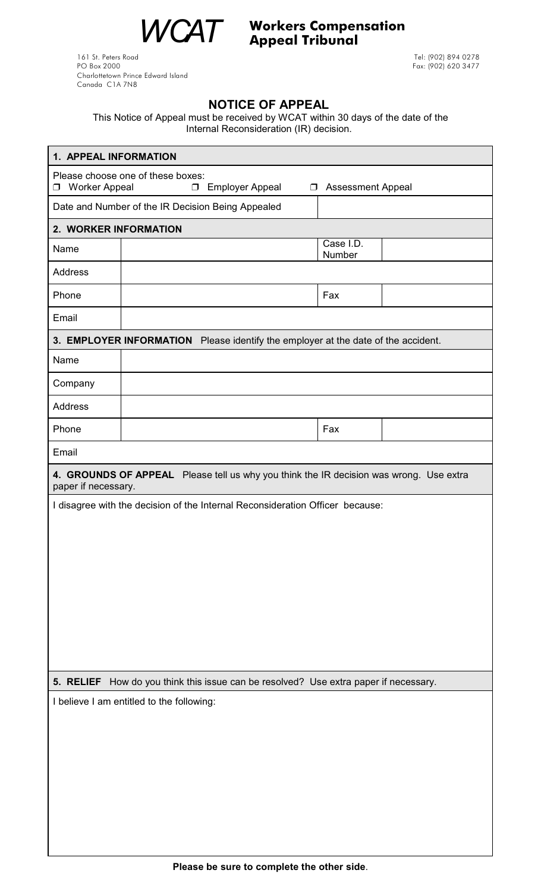WCAT Workers Compensation<br>Appeal Tribunal Appeal Tribunal

161 St. Peters Road Tel: (902) 894 0278 Charlottetown Prince Edward Island Canada C1A 7N8

Pox: (902) 620 3477

## **NOTICE OF APPEAL**

This Notice of Appeal must be received by WCAT within 30 days of the date of the Internal Reconsideration (IR) decision.

| 1. APPEAL INFORMATION                                                                                                                    |                                                                                        |                     |  |  |  |
|------------------------------------------------------------------------------------------------------------------------------------------|----------------------------------------------------------------------------------------|---------------------|--|--|--|
| Please choose one of these boxes:<br><b>Employer Appeal</b><br><b>Worker Appeal</b><br>$\Box$<br><b>Assessment Appeal</b><br>$\Box$<br>◘ |                                                                                        |                     |  |  |  |
| Date and Number of the IR Decision Being Appealed                                                                                        |                                                                                        |                     |  |  |  |
| 2. WORKER INFORMATION                                                                                                                    |                                                                                        |                     |  |  |  |
| Name                                                                                                                                     |                                                                                        | Case I.D.<br>Number |  |  |  |
| <b>Address</b>                                                                                                                           |                                                                                        |                     |  |  |  |
| Phone                                                                                                                                    |                                                                                        | Fax                 |  |  |  |
| Email                                                                                                                                    |                                                                                        |                     |  |  |  |
|                                                                                                                                          | 3. EMPLOYER INFORMATION Please identify the employer at the date of the accident.      |                     |  |  |  |
| Name                                                                                                                                     |                                                                                        |                     |  |  |  |
| Company                                                                                                                                  |                                                                                        |                     |  |  |  |
| <b>Address</b>                                                                                                                           |                                                                                        |                     |  |  |  |
| Phone                                                                                                                                    |                                                                                        | Fax                 |  |  |  |
| Email                                                                                                                                    |                                                                                        |                     |  |  |  |
| paper if necessary.                                                                                                                      | 4. GROUNDS OF APPEAL Please tell us why you think the IR decision was wrong. Use extra |                     |  |  |  |
|                                                                                                                                          | I disagree with the decision of the Internal Reconsideration Officer because:          |                     |  |  |  |
|                                                                                                                                          |                                                                                        |                     |  |  |  |
|                                                                                                                                          |                                                                                        |                     |  |  |  |
|                                                                                                                                          |                                                                                        |                     |  |  |  |
|                                                                                                                                          |                                                                                        |                     |  |  |  |
|                                                                                                                                          |                                                                                        |                     |  |  |  |
|                                                                                                                                          |                                                                                        |                     |  |  |  |
|                                                                                                                                          |                                                                                        |                     |  |  |  |
|                                                                                                                                          |                                                                                        |                     |  |  |  |
| 5. RELIEF How do you think this issue can be resolved? Use extra paper if necessary.                                                     |                                                                                        |                     |  |  |  |
| I believe I am entitled to the following:                                                                                                |                                                                                        |                     |  |  |  |
|                                                                                                                                          |                                                                                        |                     |  |  |  |
|                                                                                                                                          |                                                                                        |                     |  |  |  |
|                                                                                                                                          |                                                                                        |                     |  |  |  |
|                                                                                                                                          |                                                                                        |                     |  |  |  |
|                                                                                                                                          |                                                                                        |                     |  |  |  |
|                                                                                                                                          |                                                                                        |                     |  |  |  |
|                                                                                                                                          |                                                                                        |                     |  |  |  |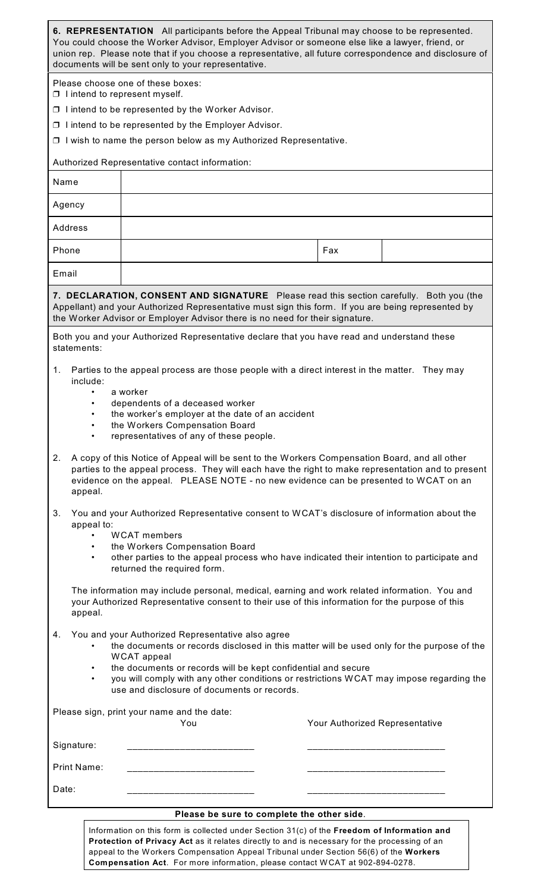## **6. REPRESENTATION** All participants before the Appeal Tribunal may choose to be represented. You could choose the Worker Advisor, Employer Advisor or someone else like a lawyer, friend, or union rep. Please note that if you choose a representative, all future correspondence and disclosure of documents will be sent only to your representative.

Please choose one of these boxes:

 $\Box$  I intend to represent myself.

 $\Box$  I intend to be represented by the Worker Advisor.

 $\Box$  I intend to be represented by the Employer Advisor.

 $\Box$  I wish to name the person below as my Authorized Representative.

Authorized Representative contact information:

| Name    |     |  |
|---------|-----|--|
| Agency  |     |  |
| Address |     |  |
| Phone   | Fax |  |
| Email   |     |  |

**7. DECLARATION, CONSENT AND SIGNATURE** Please read this section carefully. Both you (the Appellant) and your Authorized Representative must sign this form. If you are being represented by the Worker Advisor or Employer Advisor there is no need for their signature.

Both you and your Authorized Representative declare that you have read and understand these statements:

- 1. Parties to the appeal process are those people with a direct interest in the matter. They may include:
	- a worker
	- dependents of a deceased worker
	- the worker's employer at the date of an accident
	- the Workers Compensation Board
	- representatives of any of these people.

2. A copy of this Notice of Appeal will be sent to the Workers Compensation Board, and all other parties to the appeal process. They will each have the right to make representation and to present evidence on the appeal. PLEASE NOTE - no new evidence can be presented to WCAT on an appeal.

3. You and your Authorized Representative consent to WCAT's disclosure of information about the appeal to:

- WCAT members
- the Workers Compensation Board
- other parties to the appeal process who have indicated their intention to participate and returned the required form.

The information may include personal, medical, earning and work related information. You and your Authorized Representative consent to their use of this information for the purpose of this appeal.

- 4. You and your Authorized Representative also agree
	- the documents or records disclosed in this matter will be used only for the purpose of the WCAT appeal
	- the documents or records will be kept confidential and secure
	- you will comply with any other conditions or restrictions WCAT may impose regarding the use and disclosure of documents or records.

Please sign, print your name and the date:

|             | You | Your Authorized Representative |
|-------------|-----|--------------------------------|
| Signature:  |     |                                |
| Print Name: |     |                                |
| Date:       |     |                                |

## **Please be sure to complete the other side**.

Information on this form is collected under Section 31(c) of the **Freedom of Information and Protection of Privacy Act** as it relates directly to and is necessary for the processing of an appeal to the Workers Compensation Appeal Tribunal under Section 56(6) of the **Workers Compensation Act**. For more information, please contact WCAT at 902-894-0278.